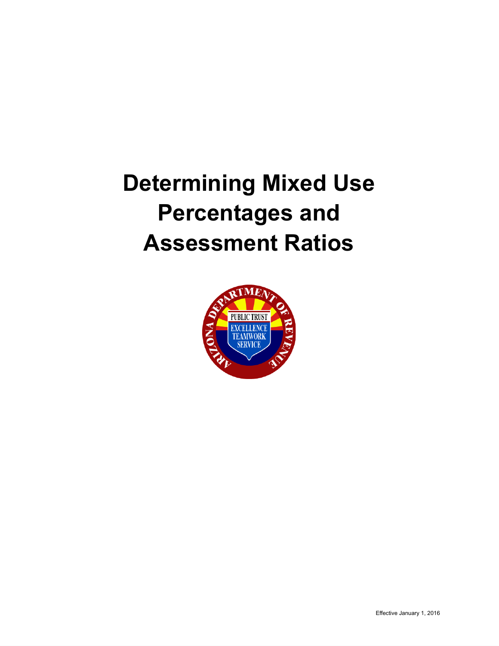# **Determining Mixed Use Percentages and Assessment Ratios**

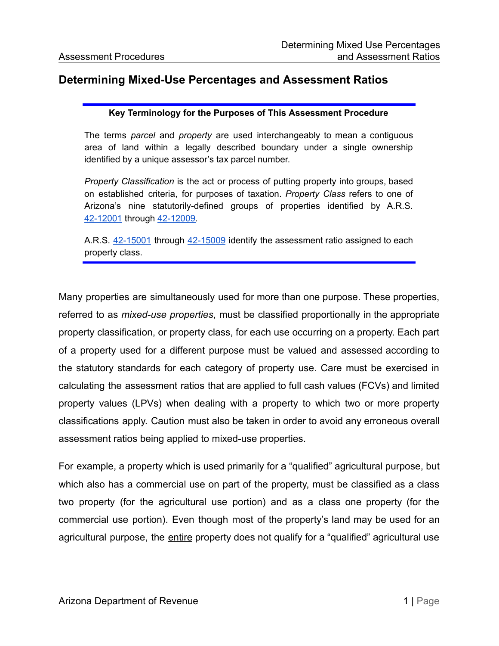## **Determining Mixed-Use Percentages and Assessment Ratios**

#### **Key Terminology for the Purposes of This Assessment Procedure**

The terms *parcel* and *property* are used interchangeably to mean a contiguous area of land within a legally described boundary under a single ownership identified by a unique assessor's tax parcel number.

*Property Classification* is the act or process of putting property into groups, based on established criteria, for purposes of taxation. *Property Class* refers to one of Arizona's nine statutorily-defined groups of properties identified by A.R.S. [42-12001](https://www.azleg.gov/viewDocument/?docName=http://www.azleg.gov/ars/42/12001.htm) through [42-12009.](https://www.azleg.gov/viewDocument/?docName=http://www.azleg.gov/ars/42/12009.htm)

A.R.S. [42-15001](https://www.azleg.gov/viewDocument/?docName=http://www.azleg.gov/ars/42/15001.htm) through [42-15009](https://www.azleg.gov/viewDocument/?docName=http://www.azleg.gov/ars/42/15009.htm) identify the assessment ratio assigned to each property class.

Many properties are simultaneously used for more than one purpose. These properties, referred to as *mixed-use properties*, must be classified proportionally in the appropriate property classification, or property class, for each use occurring on a property. Each part of a property used for a different purpose must be valued and assessed according to the statutory standards for each category of property use. Care must be exercised in calculating the assessment ratios that are applied to full cash values (FCVs) and limited property values (LPVs) when dealing with a property to which two or more property classifications apply. Caution must also be taken in order to avoid any erroneous overall assessment ratios being applied to mixed-use properties.

For example, a property which is used primarily for a "qualified" agricultural purpose, but which also has a commercial use on part of the property, must be classified as a class two property (for the agricultural use portion) and as a class one property (for the commercial use portion). Even though most of the property's land may be used for an agricultural purpose, the entire property does not qualify for a "qualified" agricultural use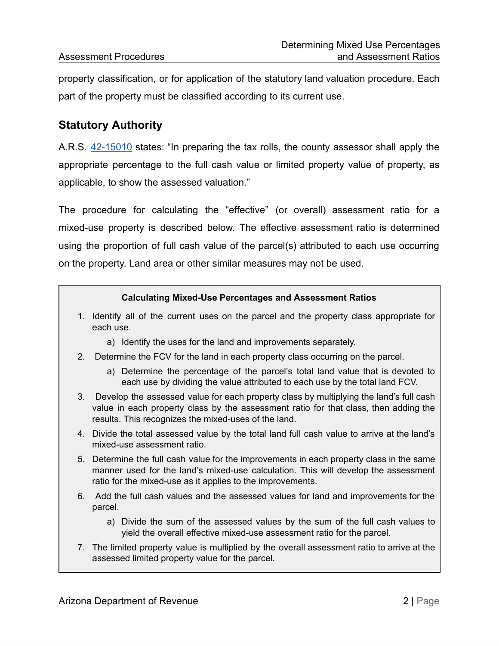property classification, or for application of the statutory land valuation procedure. Each part of the property must be classified according to its current use.

## **Statutory Authority**

A.R.S. [42-15010](https://www.azleg.gov/viewDocument/?docName=http://www.azleg.gov/ars/42/15010.htm) states: "In preparing the tax rolls, the county assessor shall apply the appropriate percentage to the full cash value or limited property value of property, as applicable, to show the assessed valuation."

The procedure for calculating the "effective" (or overall) assessment ratio for a mixed-use property is described below. The effective assessment ratio is determined using the proportion of full cash value of the parcel(s) attributed to each use occurring on the property. Land area or other similar measures may not be used.

#### **Calculating Mixed-Use Percentages and Assessment Ratios**

- 1. Identify all of the current uses on the parcel and the property class appropriate for each use.
	- a) Identify the uses for the land and improvements separately.
- 2. Determine the FCV for the land in each property class occurring on the parcel.
	- a) Determine the percentage of the parcel's total land value that is devoted to each use by dividing the value attributed to each use by the total land FCV.
- 3. Develop the assessed value for each property class by multiplying the land's full cash value in each property class by the assessment ratio for that class, then adding the results. This recognizes the mixed-uses of the land.
- 4. Divide the total assessed value by the total land full cash value to arrive at the land's mixed-use assessment ratio.
- 5. Determine the full cash value for the improvements in each property class in the same manner used for the land's mixed-use calculation. This will develop the assessment ratio for the mixed-use as it applies to the improvements.
- 6. Add the full cash values and the assessed values for land and improvements for the parcel.
	- a) Divide the sum of the assessed values by the sum of the full cash values to yield the overall effective mixed-use assessment ratio for the parcel.
- 7. The limited property value is multiplied by the overall assessment ratio to arrive at the assessed limited property value for the parcel.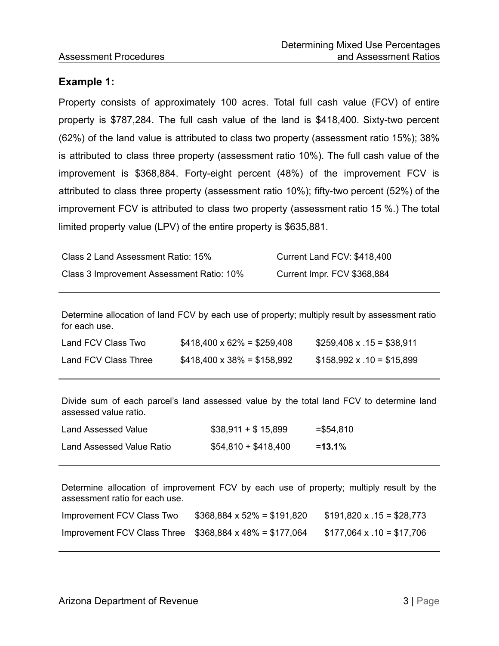## **Example 1:**

Property consists of approximately 100 acres. Total full cash value (FCV) of entire property is \$787,284. The full cash value of the land is \$418,400. Sixty-two percent (62%) of the land value is attributed to class two property (assessment ratio 15%); 38% is attributed to class three property (assessment ratio 10%). The full cash value of the improvement is \$368,884. Forty-eight percent (48%) of the improvement FCV is attributed to class three property (assessment ratio 10%); fifty-two percent (52%) of the improvement FCV is attributed to class two property (assessment ratio 15 %.) The total limited property value (LPV) of the entire property is \$635,881.

| Class 2 Land Assessment Ratio: 15%        | Current Land FCV: \$418,400 |
|-------------------------------------------|-----------------------------|
| Class 3 Improvement Assessment Ratio: 10% | Current Impr. FCV \$368,884 |

Determine allocation of land FCV by each use of property; multiply result by assessment ratio for each use.

| Land FCV Class Two   | $$418,400 \times 62\% = $259,408$ | $$259,408 \times .15 = $38,911$ |
|----------------------|-----------------------------------|---------------------------------|
| Land FCV Class Three | $$418,400 \times 38\% = $158,992$ | $$158,992 \times .10 = $15,899$ |

Divide sum of each parcel's land assessed value by the total land FCV to determine land assessed value ratio.

| Land Assessed Value       | $$38,911 + $15,899$     | $=$ \$54,810 |
|---------------------------|-------------------------|--------------|
| Land Assessed Value Ratio | $$54,810 \div $418,400$ | $=13.1\%$    |

Determine allocation of improvement FCV by each use of property; multiply result by the assessment ratio for each use.

| Improvement FCV Class Two                                     | $$368,884 \times 52\% = $191,820$ | $$191,820 \times .15 = $28,773$ |
|---------------------------------------------------------------|-----------------------------------|---------------------------------|
| Improvement FCV Class Three $$368,884 \times 48\% = $177,064$ |                                   | $$177,064 \times .10 = $17,706$ |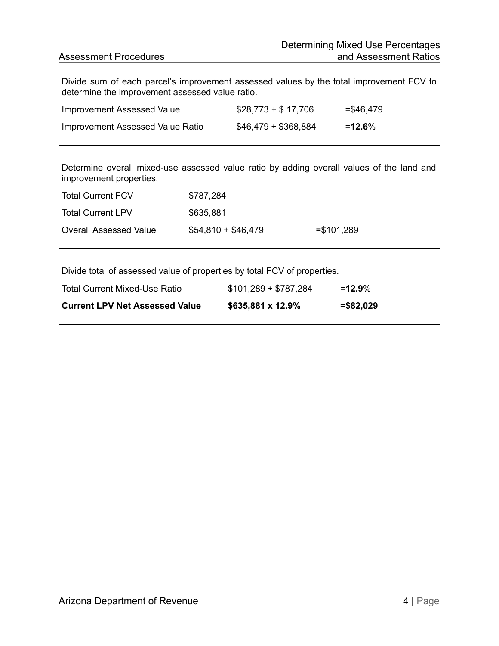Divide sum of each parcel's improvement assessed values by the total improvement FCV to determine the improvement assessed value ratio.

| Improvement Assessed Value       | $$28,773 + $17,706$     | $= $46,479$ |
|----------------------------------|-------------------------|-------------|
| Improvement Assessed Value Ratio | $$46,479 \div $368,884$ | $=12.6\%$   |

Determine overall mixed-use assessed value ratio by adding overall values of the land and improvement properties.

| <b>Total Current FCV</b>      | \$787,284           |              |
|-------------------------------|---------------------|--------------|
| <b>Total Current LPV</b>      | \$635,881           |              |
| <b>Overall Assessed Value</b> | $$54,810 + $46,479$ | $= $101,289$ |

Divide total of assessed value of properties by total FCV of properties.

| Total Current Mixed-Use Ratio         | $$101,289 \div $787,284$ | $=12.9\%$ |
|---------------------------------------|--------------------------|-----------|
| <b>Current LPV Net Assessed Value</b> | \$635,881 x 12.9%        | =\$82,029 |
|                                       |                          |           |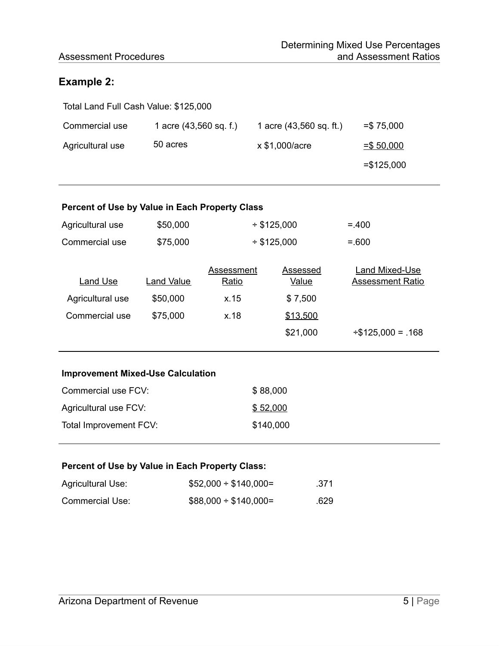### Assessment Procedures

## **Example 2:**

| Total Land Full Cash Value: \$125,000 |                          |                         |              |  |
|---------------------------------------|--------------------------|-------------------------|--------------|--|
| Commercial use                        | 1 acre $(43,560$ sq. f.) | 1 acre (43,560 sq. ft.) | $= $75,000$  |  |
| Agricultural use                      | 50 acres                 | x \$1,000/acre          | $= $,50,000$ |  |
|                                       |                          |                         | $= $125,000$ |  |

#### **Percent of Use by Value in Each Property Class**

| Agricultural use | \$50,000   | $*$ \$125,000 |          | $=.400$                 |
|------------------|------------|---------------|----------|-------------------------|
| Commercial use   | \$75,000   | $*$ \$125,000 |          | $= 600$                 |
|                  |            | Assessment    | Assessed | Land Mixed-Use          |
| Land Use         | Land Value | Ratio         | Value    | Assessment Ratio        |
| Agricultural use | \$50,000   | x.15          | \$7,500  |                         |
| Commercial use   | \$75,000   | x.18          | \$13,500 |                         |
|                  |            |               | \$21,000 | $\div$ \$125,000 = .168 |

#### **Improvement Mixed-Use Calculation**

| Commercial use FCV:    | \$88,000  |
|------------------------|-----------|
| Agricultural use FCV:  | \$52,000  |
| Total Improvement FCV: | \$140,000 |

#### **Percent of Use by Value in Each Property Class:**

| Agricultural Use: | $$52,000 \div $140,000 =$ | .371 |
|-------------------|---------------------------|------|
| Commercial Use:   | $$88,000 \div $140,000 =$ | .629 |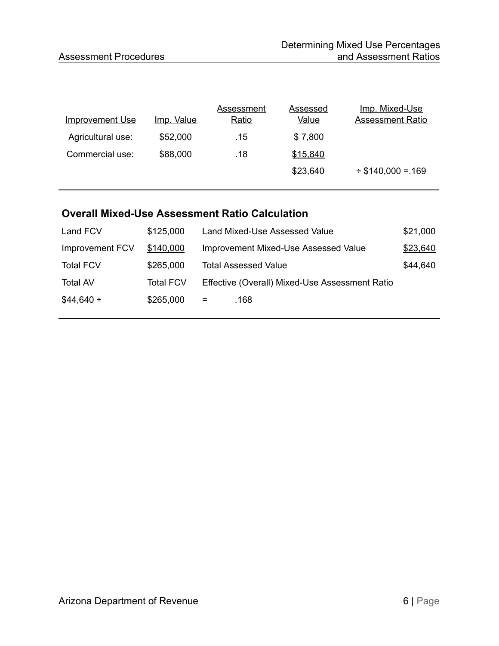| <b>Improvement Use</b> | <u>Imp. Value</u> | Assessment<br>Ratio | Assessed<br><b>Value</b> | <u>Imp. Mixed-Use</u><br><b>Assessment Ratio</b> |
|------------------------|-------------------|---------------------|--------------------------|--------------------------------------------------|
| Agricultural use:      | \$52,000          | .15                 | \$7,800                  |                                                  |
| Commercial use:        | \$88,000          | .18                 | \$15,840                 |                                                  |
|                        |                   |                     | \$23,640                 | $\div$ \$140,000 = 169                           |
|                        |                   |                     |                          |                                                  |

## **Overall Mixed-Use Assessment Ratio Calculation**

| Land FCV         | \$125,000        | Land Mixed-Use Assessed Value                  | \$21,000 |
|------------------|------------------|------------------------------------------------|----------|
| Improvement FCV  | \$140,000        | Improvement Mixed-Use Assessed Value           | \$23,640 |
| <b>Total FCV</b> | \$265,000        | <b>Total Assessed Value</b>                    | \$44,640 |
| <b>Total AV</b>  | <b>Total FCV</b> | Effective (Overall) Mixed-Use Assessment Ratio |          |
| $$44,640 \div$   | \$265,000        | $=$<br>.168                                    |          |
|                  |                  |                                                |          |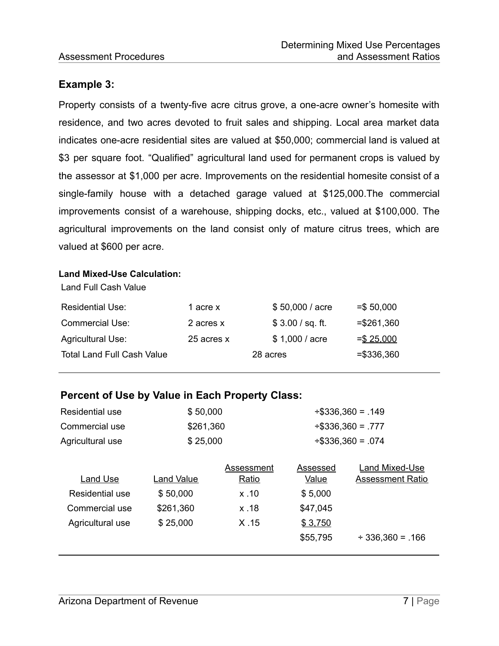## **Example 3:**

Property consists of a twenty-five acre citrus grove, a one-acre owner's homesite with residence, and two acres devoted to fruit sales and shipping. Local area market data indicates one-acre residential sites are valued at \$50,000; commercial land is valued at \$3 per square foot. "Qualified" agricultural land used for permanent crops is valued by the assessor at \$1,000 per acre. Improvements on the residential homesite consist of a single-family house with a detached garage valued at \$125,000.The commercial improvements consist of a warehouse, shipping docks, etc., valued at \$100,000. The agricultural improvements on the land consist only of mature citrus trees, which are valued at \$600 per acre.

#### **Land Mixed-Use Calculation:**

| <b>Residential Use:</b>           | 1 acre x   | \$50,000 / acre  | $= $50,000$  |
|-----------------------------------|------------|------------------|--------------|
| <b>Commercial Use:</b>            | 2 acres x  | \$3.00 / sq. ft. | $= $261,360$ |
| <b>Agricultural Use:</b>          | 25 acres x | \$1,000 / acre   | $=$ \$25,000 |
| <b>Total Land Full Cash Value</b> |            | 28 acres         | $= $336,360$ |

## **Percent of Use by Value in Each Property Class:**

| <b>Residential use</b> | \$50,000   |              | $\div$ \$336,360 = .149 |                         |
|------------------------|------------|--------------|-------------------------|-------------------------|
| Commercial use         | \$261,360  |              |                         | $\div$ \$336,360 = .777 |
| Agricultural use       | \$25,000   |              |                         | $\div$ \$336,360 = .074 |
|                        |            | Assessment   | Assessed                | Land Mixed-Use          |
| Land Use               | Land Value | <u>Ratio</u> | Value                   | <b>Assessment Ratio</b> |
| Residential use        | \$50,000   | x.10         | \$5,000                 |                         |
| Commercial use         | \$261,360  | x.18         | \$47,045                |                         |
| Agricultural use       | \$25,000   | X.15         | \$3,750                 |                         |
|                        |            |              | \$55,795                | $\div$ 336,360 = .166   |
|                        |            |              |                         |                         |